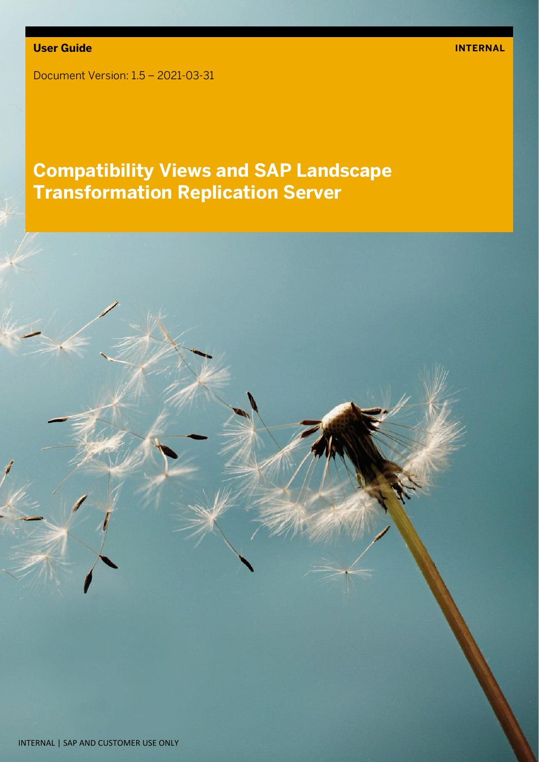Document Version: 1.5 – 2021-03-31

# **Compatibility Views and SAP Landscape Transformation Replication Server**

INTERNAL | SAP AND CUSTOMER USE ONLY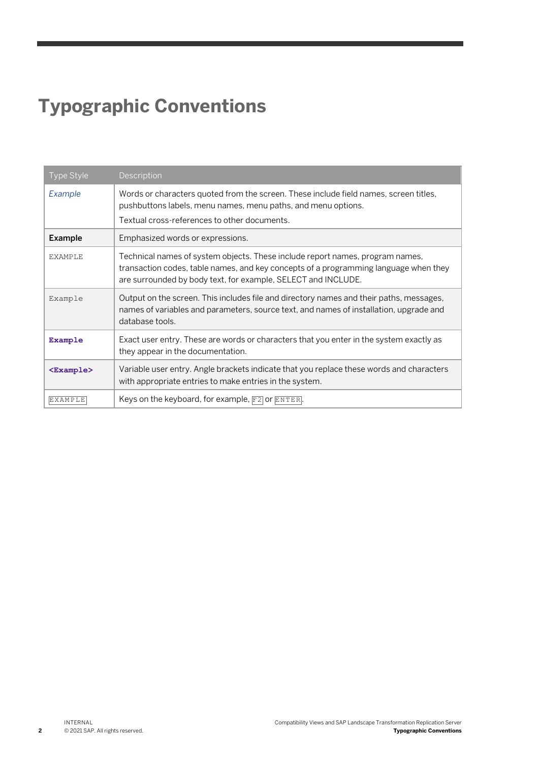# **Typographic Conventions**

| <b>Type Style</b>   | Description                                                                                                                                                                                                                            |
|---------------------|----------------------------------------------------------------------------------------------------------------------------------------------------------------------------------------------------------------------------------------|
| Example             | Words or characters quoted from the screen. These include field names, screen titles,<br>pushbuttons labels, menu names, menu paths, and menu options.<br>Textual cross-references to other documents.                                 |
| <b>Example</b>      | Emphasized words or expressions.                                                                                                                                                                                                       |
| <b>EXAMPLE</b>      | Technical names of system objects. These include report names, program names,<br>transaction codes, table names, and key concepts of a programming language when they<br>are surrounded by body text, for example, SELECT and INCLUDE. |
| Example             | Output on the screen. This includes file and directory names and their paths, messages,<br>names of variables and parameters, source text, and names of installation, upgrade and<br>database tools.                                   |
| Example             | Exact user entry. These are words or characters that you enter in the system exactly as<br>they appear in the documentation.                                                                                                           |
| <example></example> | Variable user entry. Angle brackets indicate that you replace these words and characters<br>with appropriate entries to make entries in the system.                                                                                    |
| <b>EXAMPLE</b>      | Keys on the keyboard, for example, $F2$ or $ETER$ .                                                                                                                                                                                    |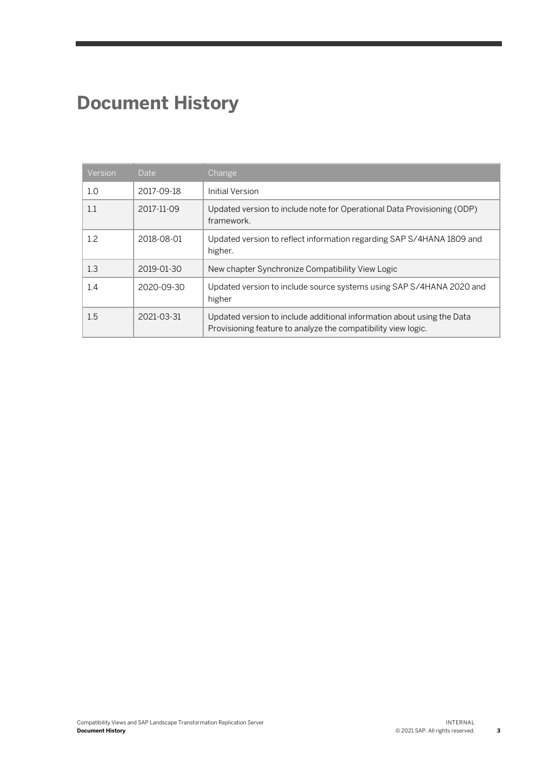# **Document History**

| Version | Date       | Change                                                                                                                                  |
|---------|------------|-----------------------------------------------------------------------------------------------------------------------------------------|
| 1.0     | 2017-09-18 | Initial Version                                                                                                                         |
| 1.1     | 2017-11-09 | Updated version to include note for Operational Data Provisioning (ODP)<br>framework.                                                   |
| 1.2     | 2018-08-01 | Updated version to reflect information regarding SAP S/4HANA 1809 and<br>higher.                                                        |
| 1.3     | 2019-01-30 | New chapter Synchronize Compatibility View Logic                                                                                        |
| 1.4     | 2020-09-30 | Updated version to include source systems using SAP S/4HANA 2020 and<br>higher                                                          |
| 1.5     | 2021-03-31 | Updated version to include additional information about using the Data<br>Provisioning feature to analyze the compatibility view logic. |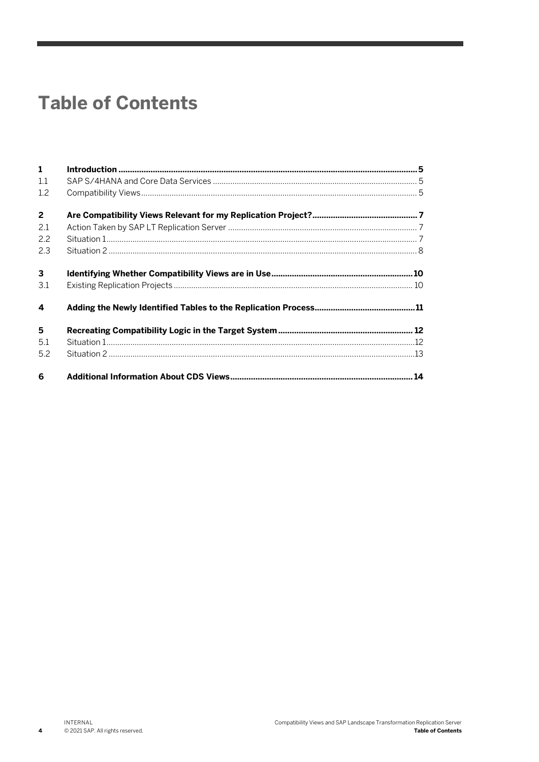# **Table of Contents**

| $\mathbf{1}$            |  |
|-------------------------|--|
| 1.1                     |  |
| 1.2                     |  |
| $\overline{2}$          |  |
| 2.1                     |  |
| 2.2                     |  |
| 2.3                     |  |
| $\mathbf{3}$            |  |
| 3.1                     |  |
| $\overline{\mathbf{4}}$ |  |
| 5                       |  |
| 5.1                     |  |
| 5.2                     |  |
| 6                       |  |

 $\overline{\mathbf{4}}$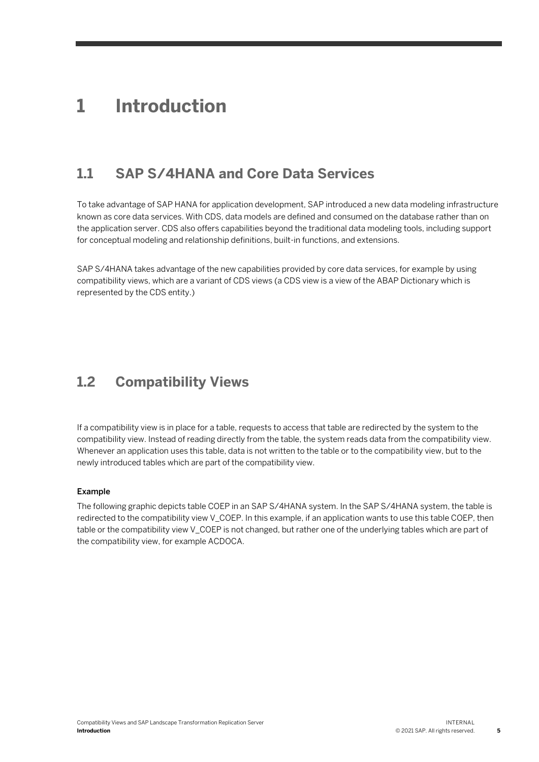## **1 Introduction**

### **1.1 SAP S/4HANA and Core Data Services**

To take advantage of SAP HANA for application development, SAP introduced a new data modeling infrastructure known as core data services. With CDS, data models are defined and consumed on the database rather than on the application server. CDS also offers capabilities beyond the traditional data modeling tools, including support for conceptual modeling and relationship definitions, built-in functions, and extensions.

SAP S/4HANA takes advantage of the new capabilities provided by core data services, for example by using compatibility views, which are a variant of CDS views (a CDS view is a view of the ABAP Dictionary which is represented by the CDS entity.)

### **1.2 Compatibility Views**

If a compatibility view is in place for a table, requests to access that table are redirected by the system to the compatibility view. Instead of reading directly from the table, the system reads data from the compatibility view. Whenever an application uses this table, data is not written to the table or to the compatibility view, but to the newly introduced tables which are part of the compatibility view.

### Example

The following graphic depicts table COEP in an SAP S/4HANA system. In the SAP S/4HANA system, the table is redirected to the compatibility view V\_COEP. In this example, if an application wants to use this table COEP, then table or the compatibility view V\_COEP is not changed, but rather one of the underlying tables which are part of the compatibility view, for example ACDOCA.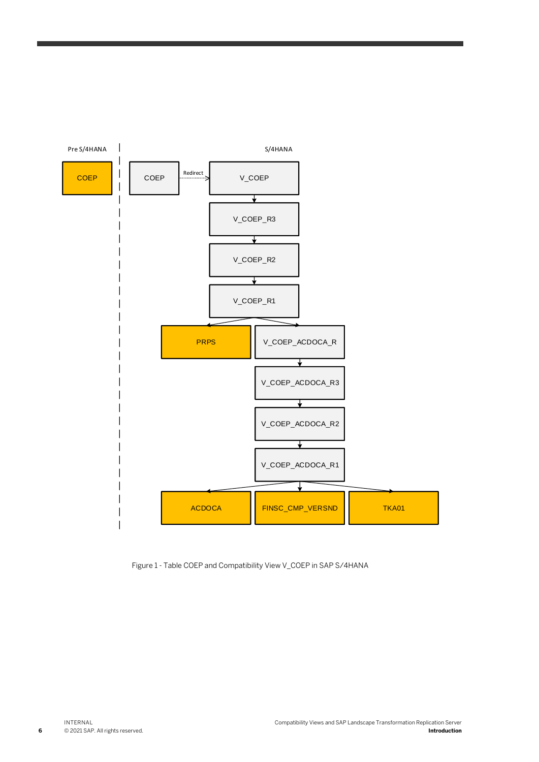

Figure 1 - Table COEP and Compatibility View V\_COEP in SAP S/4HANA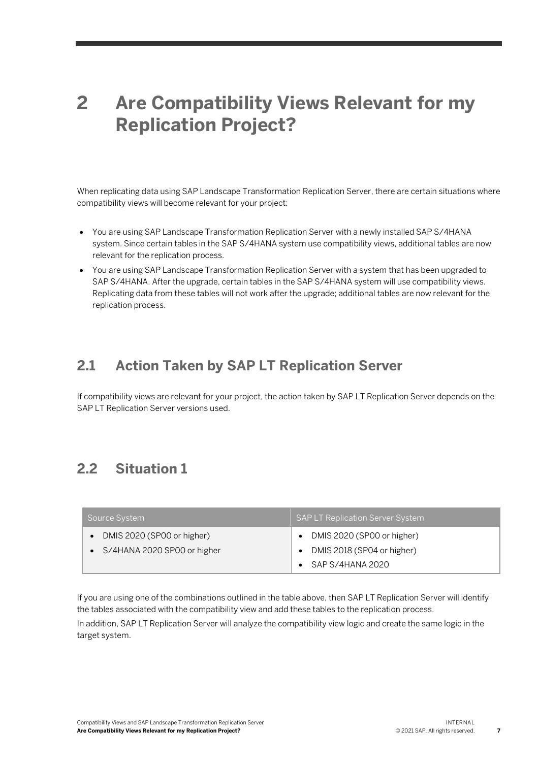# **2 Are Compatibility Views Relevant for my Replication Project?**

When replicating data using SAP Landscape Transformation Replication Server, there are certain situations where compatibility views will become relevant for your project:

- You are using SAP Landscape Transformation Replication Server with a newly installed SAP S/4HANA system. Since certain tables in the SAP S/4HANA system use compatibility views, additional tables are now relevant for the replication process.
- You are using SAP Landscape Transformation Replication Server with a system that has been upgraded to SAP S/4HANA. After the upgrade, certain tables in the SAP S/4HANA system will use compatibility views. Replicating data from these tables will not work after the upgrade; additional tables are now relevant for the replication process.

### **2.1 Action Taken by SAP LT Replication Server**

If compatibility views are relevant for your project, the action taken by SAP LT Replication Server depends on the SAP LT Replication Server versions used.

### **2.2 Situation 1**

| Source System                                             | <b>SAP LT Replication Server System</b>                                      |
|-----------------------------------------------------------|------------------------------------------------------------------------------|
| DMIS 2020 (SP00 or higher)<br>S/4HANA 2020 SP00 or higher | DMIS 2020 (SP00 or higher)<br>DMIS 2018 (SP04 or higher)<br>SAP S/4HANA 2020 |

If you are using one of the combinations outlined in the table above, then SAP LT Replication Server will identify the tables associated with the compatibility view and add these tables to the replication process.

In addition, SAP LT Replication Server will analyze the compatibility view logic and create the same logic in the target system.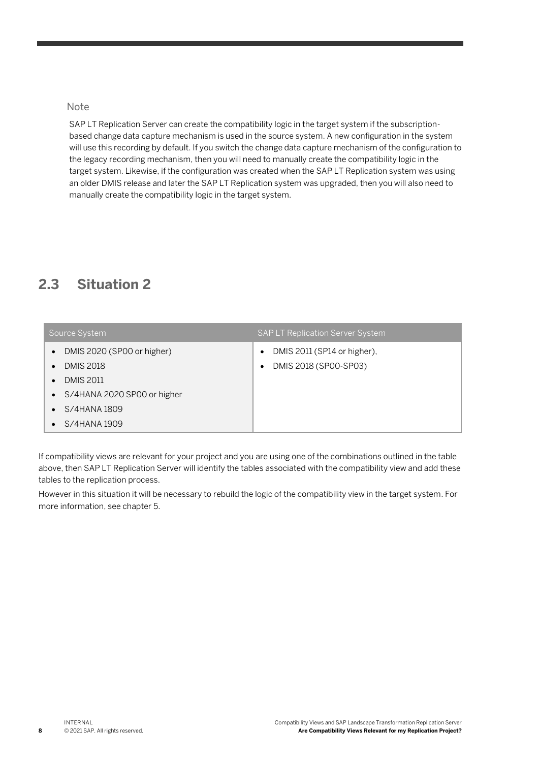### **Note**

SAP LT Replication Server can create the compatibility logic in the target system if the subscriptionbased change data capture mechanism is used in the source system. A new configuration in the system will use this recording by default. If you switch the change data capture mechanism of the configuration to the legacy recording mechanism, then you will need to manually create the compatibility logic in the target system. Likewise, if the configuration was created when the SAP LT Replication system was using an older DMIS release and later the SAP LT Replication system was upgraded, then you will also need to manually create the compatibility logic in the target system.

### **2.3 Situation 2**

| Source System                                                            | <b>SAP LT Replication Server System</b>              |
|--------------------------------------------------------------------------|------------------------------------------------------|
| DMIS 2020 (SP00 or higher)<br>$\bullet$<br><b>DMIS 2018</b><br>$\bullet$ | DMIS 2011 (SP14 or higher),<br>DMIS 2018 (SP00-SP03) |
| <b>DMIS 2011</b><br>$\bullet$                                            |                                                      |
| • S/4HANA 2020 SP00 or higher                                            |                                                      |
| $\bullet$ S/4HANA 1809                                                   |                                                      |
| $\bullet$ S/4HANA 1909                                                   |                                                      |

If compatibility views are relevant for your project and you are using one of the combinations outlined in the table above, then SAP LT Replication Server will identify the tables associated with the compatibility view and add these tables to the replication process.

However in this situation it will be necessary to rebuild the logic of the compatibility view in the target system. For more information, see chapter 5.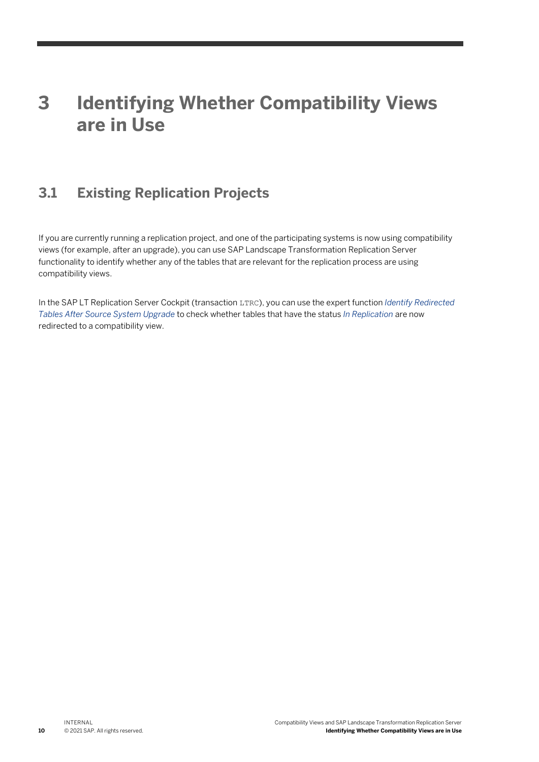# **3 Identifying Whether Compatibility Views are in Use**

## **3.1 Existing Replication Projects**

If you are currently running a replication project, and one of the participating systems is now using compatibility views (for example, after an upgrade), you can use SAP Landscape Transformation Replication Server functionality to identify whether any of the tables that are relevant for the replication process are using compatibility views.

In the SAP LT Replication Server Cockpit (transaction LTRC), you can use the expert function *Identify Redirected Tables After Source System Upgrade* to check whether tables that have the status *In Replication* are now redirected to a compatibility view.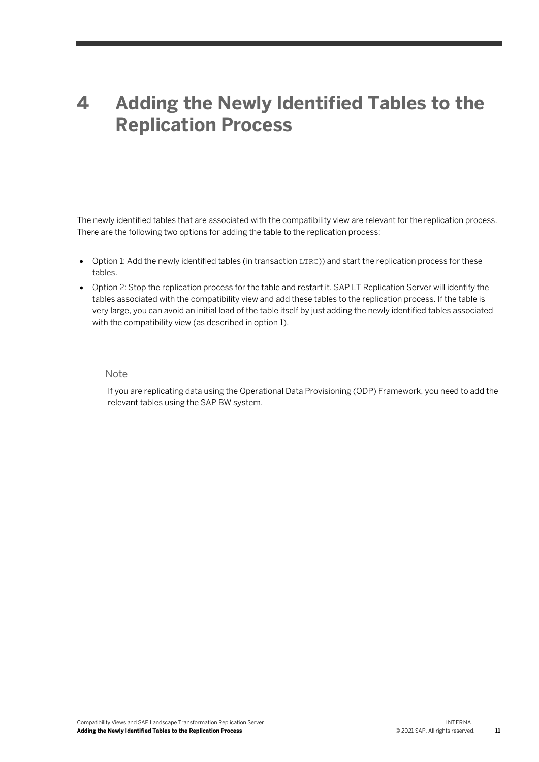# **4 Adding the Newly Identified Tables to the Replication Process**

The newly identified tables that are associated with the compatibility view are relevant for the replication process. There are the following two options for adding the table to the replication process:

- Option 1: Add the newly identified tables (in transaction LTRC)) and start the replication process for these tables.
- Option 2: Stop the replication process for the table and restart it. SAP LT Replication Server will identify the tables associated with the compatibility view and add these tables to the replication process. If the table is very large, you can avoid an initial load of the table itself by just adding the newly identified tables associated with the compatibility view (as described in option 1).

#### Note

If you are replicating data using the Operational Data Provisioning (ODP) Framework, you need to add the relevant tables using the SAP BW system.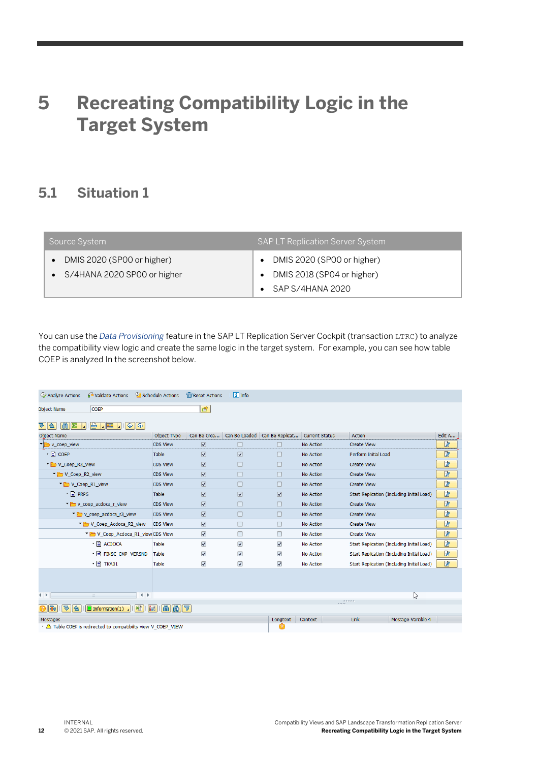# **5 Recreating Compatibility Logic in the Target System**

### **5.1 Situation 1**

| Source System                                               | <b>SAP LT Replication Server System</b>                  |
|-------------------------------------------------------------|----------------------------------------------------------|
| DMIS 2020 (SP00 or higher)<br>• S/4HANA 2020 SP00 or higher | DMIS 2020 (SP00 or higher)<br>DMIS 2018 (SP04 or higher) |
|                                                             | $\bullet$ SAP S/4HANA 2020                               |

You can use the *Data Provisioning* feature in the SAP LT Replication Server Cockpit (transaction LTRC) to analyze the compatibility view logic and create the same logic in the target system. For example, you can see how table COEP is analyzed In the screenshot below.

| Analyze Actions                                                                                                | Validate Actions                                                               | <b>OF</b> Schedule Actions | <b>TTT</b> Reset Actions        | $\boxed{\mathbf{i}}$ Info       |                                 |                       |                      |                                            |        |  |
|----------------------------------------------------------------------------------------------------------------|--------------------------------------------------------------------------------|----------------------------|---------------------------------|---------------------------------|---------------------------------|-----------------------|----------------------|--------------------------------------------|--------|--|
| <b>Object Name</b>                                                                                             | <b>COEP</b>                                                                    |                            | Ġ.                              |                                 |                                 |                       |                      |                                            |        |  |
| 简图<br>ନ<br>$\ \triangle\ $                                                                                     | le.<br>$\mathbf{L}$ is a<br>$\mathbb{Q} \times \mathbb{Q}$<br>- 14 H           |                            |                                 |                                 |                                 |                       |                      |                                            |        |  |
| <b>Object Name</b>                                                                                             |                                                                                | Object Type                | Can Be Crea                     |                                 | Can Be Loaded   Can Be Replicat | <b>Current Status</b> | Action               |                                            | Edit A |  |
| v_coep_view                                                                                                    |                                                                                | <b>CDS View</b>            | $\boxed{\checkmark}$            |                                 |                                 | No Action             | <b>Create View</b>   |                                            | ø      |  |
| $\cdot$ $\Box$ COEP                                                                                            |                                                                                | Table                      | $\overline{\mathsf{v}}$         | $\overline{\blacktriangledown}$ | г                               | No Action             | Perform Initial Load |                                            | .<br>Z |  |
| V_Coep_R3_view                                                                                                 |                                                                                | <b>CDS View</b>            | $\sqrt{2}$                      |                                 | П                               | No Action             | <b>Create View</b>   |                                            | Z      |  |
| V Coep R2 view                                                                                                 |                                                                                | <b>CDS View</b>            | $\overline{\mathsf{v}}$         |                                 | П                               | No Action             | <b>Create View</b>   |                                            | ø      |  |
| V Coep R1 view                                                                                                 |                                                                                | <b>CDS View</b>            | $\overline{\mathbf{v}}$         |                                 | П                               | No Action             | <b>Create View</b>   |                                            | Z      |  |
| $\cdot$ = PRPS                                                                                                 |                                                                                | Table                      | $\overline{\mathbf{v}}$         | $\overline{\blacktriangledown}$ | $\overline{\blacktriangledown}$ | No Action             |                      | Start Replication (Including Initial Load) | Z      |  |
|                                                                                                                | v coep acdoca r view                                                           | <b>CDS View</b>            | $\overline{\mathbf{v}}$         |                                 | г                               | No Action             | <b>Create View</b>   |                                            | B      |  |
|                                                                                                                | v_coep_acdoca_r3_view                                                          | <b>CDS View</b>            | $\overline{\mathbf{v}}$         |                                 | г                               | No Action             | <b>Create View</b>   |                                            | þ      |  |
|                                                                                                                | V_Coep_Acdoca_R2_view                                                          | <b>CDS View</b>            | $\overline{\blacktriangledown}$ |                                 | г                               | No Action             | <b>Create View</b>   |                                            | þ      |  |
|                                                                                                                | V Coep_Acdoca_R1_view CDS View                                                 |                            | $\overline{\mathbf{v}}$         |                                 | г                               | No Action             | <b>Create View</b>   |                                            | þ      |  |
|                                                                                                                | · F ACDOCA                                                                     | Table                      | $\overline{\blacktriangledown}$ | $\overline{\blacktriangledown}$ | $\overline{\blacktriangledown}$ | No Action             |                      | Start Replication (Including Initial Load) | þ      |  |
|                                                                                                                | $\cdot$ $\mathbb{F}$ Finsc CMP versnd                                          | Table                      | $\overline{\blacktriangledown}$ | $\overline{\blacktriangledown}$ | ⊽                               | <b>No Action</b>      |                      | Start Replication (Including Initial Load) | þ      |  |
|                                                                                                                | $\cdot$ $\equiv$ TKA01                                                         | Table                      | $\overline{\blacktriangledown}$ | $\overline{\blacktriangledown}$ | $\overline{\checkmark}$         | No Action             |                      | Start Replication (Including Initial Load) | B      |  |
|                                                                                                                |                                                                                |                            |                                 |                                 |                                 |                       |                      |                                            |        |  |
|                                                                                                                |                                                                                |                            |                                 |                                 |                                 |                       |                      |                                            |        |  |
|                                                                                                                |                                                                                |                            |                                 |                                 |                                 |                       |                      |                                            |        |  |
| $\leftarrow$<br>$\rightarrow$<br>$-2.01$                                                                       |                                                                                |                            |                                 |                                 |                                 | <b>CONTRACTOR</b>     | $\mathbb{Z}$         |                                            |        |  |
| $\mathbf{a}$ $\mathbf{m}$ $\mathbf{m}$ $\mathbf{m}$<br>$\Box$ Information(1)<br>▽<br>$\trianglerighteq$<br>lΠε |                                                                                |                            |                                 |                                 |                                 |                       |                      |                                            |        |  |
| Messages                                                                                                       |                                                                                |                            |                                 |                                 | Longtext                        | Context               | Link                 | Message Variable 4                         |        |  |
|                                                                                                                | $\cdot$ $\triangle$ Table COEP is redirected to compatibility view V_COEP_VIEW |                            |                                 |                                 | 0                               |                       |                      |                                            |        |  |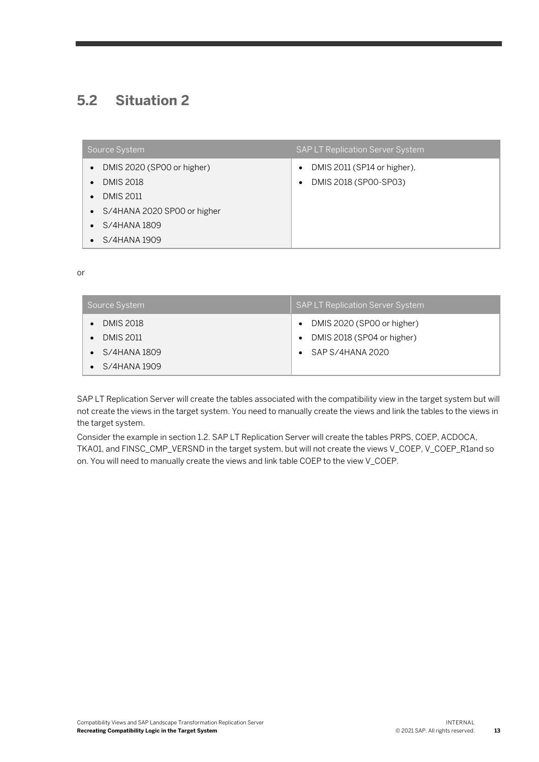### **5.2 Situation 2**

| Source System                                  | <b>SAP LT Replication Server System</b>                                        |
|------------------------------------------------|--------------------------------------------------------------------------------|
| DMIS 2020 (SP00 or higher)<br><b>DMIS 2018</b> | DMIS 2011 (SP14 or higher),<br>$\bullet$<br>DMIS 2018 (SP00-SP03)<br>$\bullet$ |
| <b>DMIS 2011</b>                               |                                                                                |
| S/4HANA 2020 SP00 or higher<br>$\bullet$       |                                                                                |
| S/4HANA 1809                                   |                                                                                |
| S/4HANA 1909                                   |                                                                                |

or

| Source System    | <b>SAP LT Replication Server System</b> |
|------------------|-----------------------------------------|
| <b>DMIS 2018</b> | DMIS 2020 (SP00 or higher)              |
| <b>DMIS 2011</b> | DMIS 2018 (SP04 or higher)              |
| S/4HANA 1809     | SAP S/4HANA 2020                        |
| S/4HANA 1909     |                                         |

SAP LT Replication Server will create the tables associated with the compatibility view in the target system but will not create the views in the target system. You need to manually create the views and link the tables to the views in the target system.

Consider the example in section 1.2. SAP LT Replication Server will create the tables PRPS, COEP, ACDOCA, TKA01, and FINSC\_CMP\_VERSND in the target system, but will not create the views V\_COEP, V\_COEP\_R1and so on. You will need to manually create the views and link table COEP to the view V\_COEP.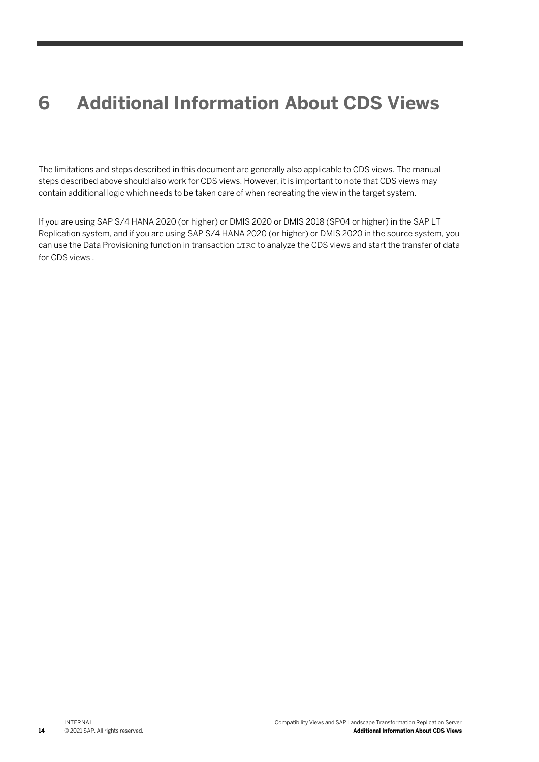# **6 Additional Information About CDS Views**

The limitations and steps described in this document are generally also applicable to CDS views. The manual steps described above should also work for CDS views. However, it is important to note that CDS views may contain additional logic which needs to be taken care of when recreating the view in the target system.

If you are using SAP S/4 HANA 2020 (or higher) or DMIS 2020 or DMIS 2018 (SP04 or higher) in the SAP LT Replication system, and if you are using SAP S/4 HANA 2020 (or higher) or DMIS 2020 in the source system, you can use the Data Provisioning function in transaction LTRC to analyze the CDS views and start the transfer of data for CDS views .